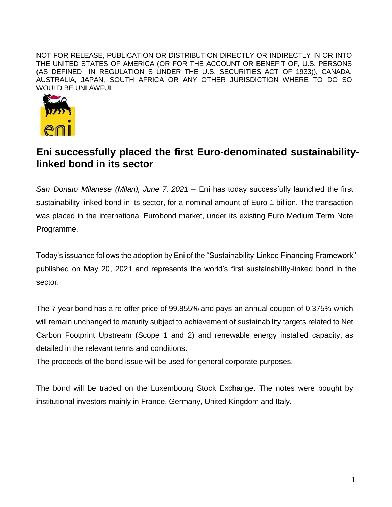NOT FOR RELEASE, PUBLICATION OR DISTRIBUTION DIRECTLY OR INDIRECTLY IN OR INTO THE UNITED STATES OF AMERICA (OR FOR THE ACCOUNT OR BENEFIT OF, U.S. PERSONS (AS DEFINED IN REGULATION S UNDER THE U.S. SECURITIES ACT OF 1933)), CANADA, AUSTRALIA, JAPAN, SOUTH AFRICA OR ANY OTHER JURISDICTION WHERE TO DO SO WOULD BE UNLAWFUL



## **Eni successfully placed the first Euro-denominated sustainabilitylinked bond in its sector**

*San Donato Milanese (Milan), June 7, 2021* – Eni has today successfully launched the first sustainability-linked bond in its sector, for a nominal amount of Euro 1 billion. The transaction was placed in the international Eurobond market, under its existing Euro Medium Term Note Programme.

Today's issuance follows the adoption by Eni of the "Sustainability-Linked Financing Framework" published on May 20, 2021 and represents the world's first sustainability-linked bond in the sector.

The 7 year bond has a re-offer price of 99.855% and pays an annual coupon of 0.375% which will remain unchanged to maturity subject to achievement of sustainability targets related to Net Carbon Footprint Upstream (Scope 1 and 2) and renewable energy installed capacity, as detailed in the relevant terms and conditions.

The proceeds of the bond issue will be used for general corporate purposes.

The bond will be traded on the Luxembourg Stock Exchange. The notes were bought by institutional investors mainly in France, Germany, United Kingdom and Italy.